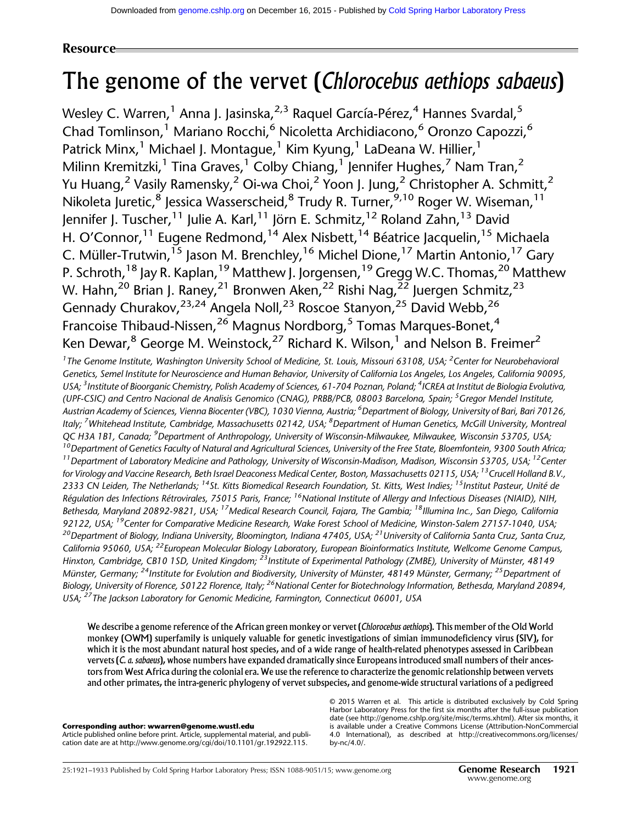# Resource

# The genome of the vervet (*Chlorocebus aethiops sabaeus*)

Wesley C. Warren,<sup>1</sup> Anna J. Jasinska,<sup>2,3</sup> Raquel García-Pérez,<sup>4</sup> Hannes Svardal,<sup>5</sup> Chad Tomlinson,<sup>1</sup> Mariano Rocchi,<sup>6</sup> Nicoletta Archidiacono,<sup>6</sup> Oronzo Capozzi,<sup>6</sup> Patrick Minx,<sup>1</sup> Michael J. Montague,<sup>1</sup> Kim Kyung,<sup>1</sup> LaDeana W. Hillier,<sup>1</sup> Milinn Kremitzki,<sup>1</sup> Tina Graves,<sup>1</sup> Colby Chiang,<sup>1</sup> Jennifer Hughes,<sup>7</sup> Nam Tran,<sup>2</sup> Yu Huang,<sup>2</sup> Vasily Ramensky,<sup>2</sup> Oi-wa Choi,<sup>2</sup> Yoon J. Jung,<sup>2</sup> Christopher A. Schmitt,<sup>2</sup> Nikoleta Juretic, <sup>8</sup> Jessica Wasserscheid, <sup>8</sup> Trudy R. Turner, <sup>9,10</sup> Roger W. Wiseman, <sup>11</sup> Jennifer J. Tuscher,<sup>11</sup> Julie A. Karl,<sup>11</sup> Jörn E. Schmitz,<sup>12</sup> Roland Zahn,<sup>13</sup> David H. O'Connor,<sup>11</sup> Eugene Redmond,<sup>14</sup> Alex Nisbett,<sup>14</sup> Béatrice Jacquelin,<sup>15</sup> Michaela C. Müller-Trutwin,<sup>15</sup> Jason M. Brenchley,<sup>16</sup> Michel Dione,<sup>17</sup> Martin Antonio,<sup>17</sup> Gary P. Schroth,<sup>18</sup> Jay R. Kaplan,<sup>19</sup> Matthew J. Jorgensen,<sup>19</sup> Gregg W.C. Thomas,<sup>20</sup> Matthew W. Hahn,<sup>20</sup> Brian J. Raney,<sup>21</sup> Bronwen Aken,<sup>22</sup> Rishi Nag,<sup>22</sup> Juergen Schmitz,<sup>23</sup> Gennady Churakov, <sup>23,24</sup> Angela Noll, <sup>23</sup> Roscoe Stanyon, <sup>25</sup> David Webb, <sup>26</sup> Francoise Thibaud-Nissen, <sup>26</sup> Magnus Nordborg, <sup>5</sup> Tomas Marques-Bonet, <sup>4</sup> Ken Dewar,<sup>8</sup> George M. Weinstock,<sup>27</sup> Richard K. Wilson,<sup>1</sup> and Nelson B. Freimer<sup>2</sup>

<sup>1</sup> The Genome Institute, Washington University School of Medicine, St. Louis, Missouri 63108, USA; <sup>2</sup> Center for Neurobehavioral Genetics, Semel Institute for Neuroscience and Human Behavior, University of California Los Angeles, Los Angeles, California 90095, USA; <sup>3</sup>Institute of Bioorganic Chemistry, Polish Academy of Sciences, 61-704 Poznan, Poland; <sup>4</sup>ICREA at Institut de Biologia Evolutiva, (UPF-CSIC) and Centro Nacional de Analisis Genomico (CNAG), PRBB/PCB, 08003 Barcelona, Spain; <sup>5</sup>Gregor Mendel Institute, Austrian Academy of Sciences, Vienna Biocenter (VBC), 1030 Vienna, Austria; <sup>6</sup>Department of Biology, University of Bari, Bari 70126, Italy; <sup>7</sup>Whitehead Institute, Cambridge, Massachusetts 02142, USA; <sup>8</sup>Department of Human Genetics, McGill University, Montreal QC H3A 1B1, Canada; <sup>9</sup>Department of Anthropology, University of Wisconsin-Milwaukee, Milwaukee, Wisconsin 53705, USA;  $10$ Department of Genetics Faculty of Natural and Agricultural Sciences, University of the Free State, Bloemfontein, 9300 South Africa;  $^{11}$ Department of Laboratory Medicine and Pathology, University of Wisconsin-Madison, Madison, Wisconsin 53705, USA;  $^{12}$ Center for Virology and Vaccine Research, Beth Israel Deaconess Medical Center, Boston, Massachusetts 02115, USA; <sup>13</sup>Crucell Holland B.V., 2333 CN Leiden, The Netherlands; <sup>14</sup>St. Kitts Biomedical Research Foundation, St. Kitts, West Indies; <sup>15</sup>Institut Pasteur, Unité de Régulation des Infections Rétrovirales, 75015 Paris, France; <sup>16</sup>National Institute of Allergy and Infectious Diseases (NIAID), NIH, Bethesda, Maryland 20892-9821, USA; <sup>17</sup>Medical Research Council, Fajara, The Gambia; <sup>18</sup>Illumina Inc., San Diego, California 92122, USA; <sup>19</sup>Center for Comparative Medicine Research, Wake Forest School of Medicine, Winston-Salem 27157-1040, USA; <sup>20</sup>Department of Biology, Indiana University, Bloomington, Indiana 47405, USA; <sup>21</sup>University of California Santa Cruz, Santa Cruz, California 95060, USA; <sup>22</sup>European Molecular Biology Laboratory, European Bioinformatics Institute, Wellcome Genome Campus, Hinxton, Cambridge, CB10 1SD, United Kingdom; <sup>23</sup>Institute of Experimental Pathology (ZMBE), University of Münster, 48149 Münster, Germany; <sup>24</sup>Institute for Evolution and Biodiversity, University of Münster, 48149 Münster, Germany; <sup>25</sup>Department of Biology, University of Florence, 50122 Florence, Italy; <sup>26</sup>National Center for Biotechnology Information, Bethesda, Maryland 20894, USA; <sup>27</sup>The Jackson Laboratory for Genomic Medicine, Farmington, Connecticut 06001, USA

We describe a genome reference of the African green monkey or vervet (Chlorocebus aethiops). This member of the Old World monkey (OWM) superfamily is uniquely valuable for genetic investigations of simian immunodeficiency virus (SIV), for which it is the most abundant natural host species, and of a wide range of health-related phenotypes assessed in Caribbean vervets (C. a. sabaeus), whose numbers have expanded dramatically since Europeans introduced small numbers of their ancestors from West Africa during the colonial era. We use the reference to characterize the genomic relationship between vervets and other primates, the intra-generic phylogeny of vervet subspecies, and genome-wide structural variations of a pedigreed

## Corresponding author: [wwarren@genome.wustl.edu](mailto:wwarren@genome.wustl.edu)

Article published online before print. Article, supplemental material, and publication date are at [http://www.genome.org/cgi/doi/10.1101/gr.192922.115.](http://www.genome.org/cgi/doi/10.1101/gr.192922.115)

[© 2015 Warren et al.](http://genome.cshlp.org/site/misc/terms.xhtml) This article is distributed exclusively by Cold Spring Harbor Laboratory Press for the first six months after the full-issue publication date (see [http://genome.cshlp.org/site/misc/terms.xhtml\)](http://genome.cshlp.org/site/misc/terms.xhtml). After six months, it is available under a Creative Commons License (Attribution-NonCommercial 4.0 International), as described at [http://creativecommons.org/licenses/](http://creativecommons.org/licenses/by-nc/4.0/) [by-nc/4.0/.](http://creativecommons.org/licenses/by-nc/4.0/)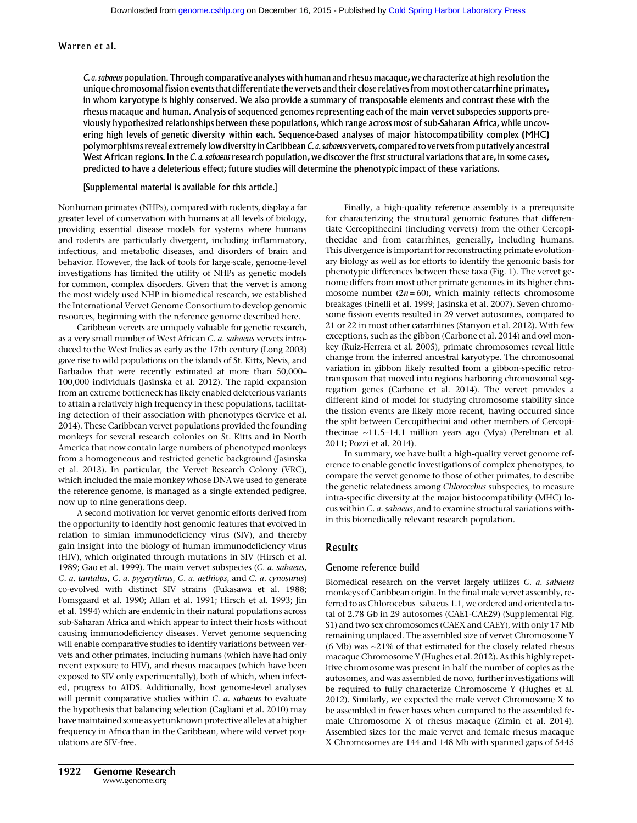C. a. sabaeus population. Through comparative analyseswith human and rhesus macaque, we characterize at high resolution the unique chromosomal fission events that differentiate the vervets and their close relatives from most other catarrhine primates, in whom karyotype is highly conserved. We also provide a summary of transposable elements and contrast these with the rhesus macaque and human. Analysis of sequenced genomes representing each of the main vervet subspecies supports previously hypothesized relationships between these populations, which range across most of sub-Saharan Africa, while uncovering high levels of genetic diversity within each. Sequence-based analyses of major histocompatibility complex (MHC) polymorphisms reveal extremely low diversity in Caribbean C. a. sabaeus vervets, compared to vervets from putatively ancestral West African regions. In the C. a. sabaeus research population, we discover the first structural variations that are, in some cases, predicted to have a deleterious effect; future studies will determine the phenotypic impact of these variations.

# [Supplemental material is available for this article.]

Nonhuman primates (NHPs), compared with rodents, display a far greater level of conservation with humans at all levels of biology, providing essential disease models for systems where humans and rodents are particularly divergent, including inflammatory, infectious, and metabolic diseases, and disorders of brain and behavior. However, the lack of tools for large-scale, genome-level investigations has limited the utility of NHPs as genetic models for common, complex disorders. Given that the vervet is among the most widely used NHP in biomedical research, we established the International Vervet Genome Consortium to develop genomic resources, beginning with the reference genome described here.

Caribbean vervets are uniquely valuable for genetic research, as a very small number of West African C. a. sabaeus vervets introduced to the West Indies as early as the 17th century (Long 2003) gave rise to wild populations on the islands of St. Kitts, Nevis, and Barbados that were recently estimated at more than 50,000– 100,000 individuals (Jasinska et al. 2012). The rapid expansion from an extreme bottleneck has likely enabled deleterious variants to attain a relatively high frequency in these populations, facilitating detection of their association with phenotypes (Service et al. 2014). These Caribbean vervet populations provided the founding monkeys for several research colonies on St. Kitts and in North America that now contain large numbers of phenotyped monkeys from a homogeneous and restricted genetic background (Jasinska et al. 2013). In particular, the Vervet Research Colony (VRC), which included the male monkey whose DNA we used to generate the reference genome, is managed as a single extended pedigree, now up to nine generations deep.

A second motivation for vervet genomic efforts derived from the opportunity to identify host genomic features that evolved in relation to simian immunodeficiency virus (SIV), and thereby gain insight into the biology of human immunodeficiency virus (HIV), which originated through mutations in SIV (Hirsch et al. 1989; Gao et al. 1999). The main vervet subspecies (C. a. sabaeus, C. a. tantalus, C. a. pygerythrus, C. a. aethiops, and C. a. cynosurus) co-evolved with distinct SIV strains (Fukasawa et al. 1988; Fomsgaard et al. 1990; Allan et al. 1991; Hirsch et al. 1993; Jin et al. 1994) which are endemic in their natural populations across sub-Saharan Africa and which appear to infect their hosts without causing immunodeficiency diseases. Vervet genome sequencing will enable comparative studies to identify variations between vervets and other primates, including humans (which have had only recent exposure to HIV), and rhesus macaques (which have been exposed to SIV only experimentally), both of which, when infected, progress to AIDS. Additionally, host genome-level analyses will permit comparative studies within C. a. sabaeus to evaluate the hypothesis that balancing selection (Cagliani et al. 2010) may have maintained some as yet unknown protective alleles at a higher frequency in Africa than in the Caribbean, where wild vervet populations are SIV-free.

Finally, a high-quality reference assembly is a prerequisite for characterizing the structural genomic features that differentiate Cercopithecini (including vervets) from the other Cercopithecidae and from catarrhines, generally, including humans. This divergence is important for reconstructing primate evolutionary biology as well as for efforts to identify the genomic basis for phenotypic differences between these taxa (Fig. 1). The vervet genome differs from most other primate genomes in its higher chromosome number  $(2n = 60)$ , which mainly reflects chromosome breakages (Finelli et al. 1999; Jasinska et al. 2007). Seven chromosome fission events resulted in 29 vervet autosomes, compared to 21 or 22 in most other catarrhines (Stanyon et al. 2012). With few exceptions, such as the gibbon (Carbone et al. 2014) and owl monkey (Ruiz-Herrera et al. 2005), primate chromosomes reveal little change from the inferred ancestral karyotype. The chromosomal variation in gibbon likely resulted from a gibbon-specific retrotransposon that moved into regions harboring chromosomal segregation genes (Carbone et al. 2014). The vervet provides a different kind of model for studying chromosome stability since the fission events are likely more recent, having occurred since the split between Cercopithecini and other members of Cercopithecinae ∼11.5–14.1 million years ago (Mya) (Perelman et al. 2011; Pozzi et al. 2014).

In summary, we have built a high-quality vervet genome reference to enable genetic investigations of complex phenotypes, to compare the vervet genome to those of other primates, to describe the genetic relatedness among Chlorocebus subspecies, to measure intra-specific diversity at the major histocompatibility (MHC) locus within C. a. sabaeus, and to examine structural variations within this biomedically relevant research population.

# Results

#### Genome reference build

Biomedical research on the vervet largely utilizes C. a. sabaeus monkeys of Caribbean origin. In the final male vervet assembly, referred to as Chlorocebus\_sabaeus 1.1, we ordered and oriented a total of 2.78 Gb in 29 autosomes (CAE1-CAE29) (Supplemental Fig. S1) and two sex chromosomes (CAEX and CAEY), with only 17 Mb remaining unplaced. The assembled size of vervet Chromosome Y (6 Mb) was ∼21% of that estimated for the closely related rhesus macaque Chromosome Y (Hughes et al. 2012). As this highly repetitive chromosome was present in half the number of copies as the autosomes, and was assembled de novo, further investigations will be required to fully characterize Chromosome Y (Hughes et al. 2012). Similarly, we expected the male vervet Chromosome X to be assembled in fewer bases when compared to the assembled female Chromosome X of rhesus macaque (Zimin et al. 2014). Assembled sizes for the male vervet and female rhesus macaque X Chromosomes are 144 and 148 Mb with spanned gaps of 5445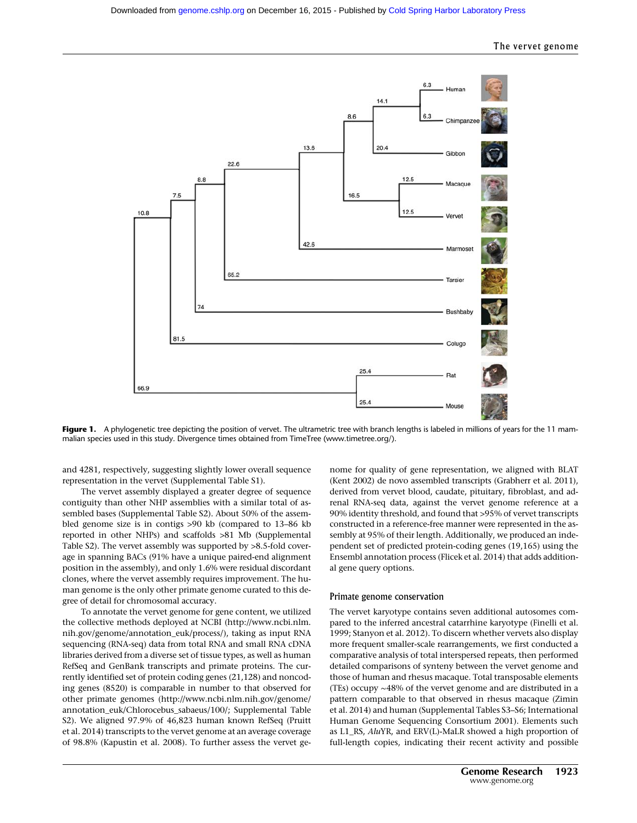

Figure 1. A phylogenetic tree depicting the position of vervet. The ultrametric tree with branch lengths is labeled in millions of years for the 11 mammalian species used in this study. Divergence times obtained from TimeTree ([www.timetree.org/\)](http://www.timetree.org/).

and 4281, respectively, suggesting slightly lower overall sequence representation in the vervet (Supplemental Table S1).

The vervet assembly displayed a greater degree of sequence contiguity than other NHP assemblies with a similar total of assembled bases (Supplemental Table S2). About 50% of the assembled genome size is in contigs >90 kb (compared to 13–86 kb reported in other NHPs) and scaffolds >81 Mb (Supplemental Table S2). The vervet assembly was supported by >8.5-fold coverage in spanning BACs (91% have a unique paired-end alignment position in the assembly), and only 1.6% were residual discordant clones, where the vervet assembly requires improvement. The human genome is the only other primate genome curated to this degree of detail for chromosomal accuracy.

To annotate the vervet genome for gene content, we utilized the collective methods deployed at NCBI ([http://www.ncbi.nlm.](http://www.ncbi.nlm.nih.gov/genome/annotation_euk/process/) [nih.gov/genome/annotation\\_euk/process/\)](http://www.ncbi.nlm.nih.gov/genome/annotation_euk/process/), taking as input RNA sequencing (RNA-seq) data from total RNA and small RNA cDNA libraries derived from a diverse set of tissue types, as well as human RefSeq and GenBank transcripts and primate proteins. The currently identified set of protein coding genes (21,128) and noncoding genes (8520) is comparable in number to that observed for other primate genomes ([http://www.ncbi.nlm.nih.gov/genome/](http://www.ncbi.nlm.nih.gov/genome/annotation_euk/Chlorocebus_sabaeus/100/) [annotation\\_euk/Chlorocebus\\_sabaeus/100/](http://www.ncbi.nlm.nih.gov/genome/annotation_euk/Chlorocebus_sabaeus/100/); Supplemental Table S2). We aligned 97.9% of 46,823 human known RefSeq (Pruitt et al. 2014) transcripts to the vervet genome at an average coverage of 98.8% (Kapustin et al. 2008). To further assess the vervet genome for quality of gene representation, we aligned with BLAT (Kent 2002) de novo assembled transcripts (Grabherr et al. 2011), derived from vervet blood, caudate, pituitary, fibroblast, and adrenal RNA-seq data, against the vervet genome reference at a 90% identity threshold, and found that >95% of vervet transcripts constructed in a reference-free manner were represented in the assembly at 95% of their length. Additionally, we produced an independent set of predicted protein-coding genes (19,165) using the Ensembl annotation process (Flicek et al. 2014) that adds additional gene query options.

#### Primate genome conservation

The vervet karyotype contains seven additional autosomes compared to the inferred ancestral catarrhine karyotype (Finelli et al. 1999; Stanyon et al. 2012). To discern whether vervets also display more frequent smaller-scale rearrangements, we first conducted a comparative analysis of total interspersed repeats, then performed detailed comparisons of synteny between the vervet genome and those of human and rhesus macaque. Total transposable elements (TEs) occupy ∼48% of the vervet genome and are distributed in a pattern comparable to that observed in rhesus macaque (Zimin et al. 2014) and human (Supplemental Tables S3–S6; International Human Genome Sequencing Consortium 2001). Elements such as L1\_RS, AluYR, and ERV(L)-MaLR showed a high proportion of full-length copies, indicating their recent activity and possible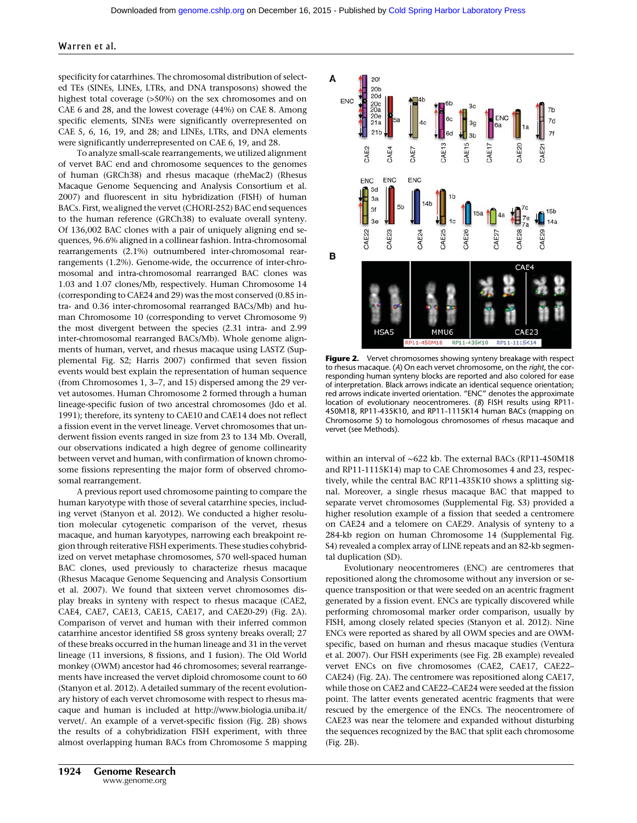specificity for catarrhines. The chromosomal distribution of selected TEs (SINEs, LINEs, LTRs, and DNA transposons) showed the highest total coverage (>50%) on the sex chromosomes and on CAE 6 and 28, and the lowest coverage (44%) on CAE 8. Among specific elements, SINEs were significantly overrepresented on CAE 5, 6, 16, 19, and 28; and LINEs, LTRs, and DNA elements were significantly underrepresented on CAE 6, 19, and 28.

To analyze small-scale rearrangements, we utilized alignment of vervet BAC end and chromosome sequences to the genomes of human (GRCh38) and rhesus macaque (rheMac2) (Rhesus Macaque Genome Sequencing and Analysis Consortium et al. 2007) and fluorescent in situ hybridization (FISH) of human BACs. First, we aligned the vervet (CHORI-252) BAC end sequences to the human reference (GRCh38) to evaluate overall synteny. Of 136,002 BAC clones with a pair of uniquely aligning end sequences, 96.6% aligned in a collinear fashion. Intra-chromosomal rearrangements (2.1%) outnumbered inter-chromosomal rearrangements (1.2%). Genome-wide, the occurrence of inter-chromosomal and intra-chromosomal rearranged BAC clones was 1.03 and 1.07 clones/Mb, respectively. Human Chromosome 14 (corresponding to CAE24 and 29) was the most conserved (0.85 intra- and 0.36 inter-chromosomal rearranged BACs/Mb) and human Chromosome 10 (corresponding to vervet Chromosome 9) the most divergent between the species (2.31 intra- and 2.99 inter-chromosomal rearranged BACs/Mb). Whole genome alignments of human, vervet, and rhesus macaque using LASTZ (Supplemental Fig. S2; Harris 2007) confirmed that seven fission events would best explain the representation of human sequence (from Chromosomes 1, 3–7, and 15) dispersed among the 29 vervet autosomes. Human Chromosome 2 formed through a human lineage-specific fusion of two ancestral chromosomes (Jdo et al. 1991); therefore, its synteny to CAE10 and CAE14 does not reflect a fission event in the vervet lineage. Vervet chromosomes that underwent fission events ranged in size from 23 to 134 Mb. Overall, our observations indicated a high degree of genome collinearity between vervet and human, with confirmation of known chromosome fissions representing the major form of observed chromosomal rearrangement.

A previous report used chromosome painting to compare the human karyotype with those of several catarrhine species, including vervet (Stanyon et al. 2012). We conducted a higher resolution molecular cytogenetic comparison of the vervet, rhesus macaque, and human karyotypes, narrowing each breakpoint region through reiterative FISH experiments. These studies cohybridized on vervet metaphase chromosomes, 570 well-spaced human BAC clones, used previously to characterize rhesus macaque (Rhesus Macaque Genome Sequencing and Analysis Consortium et al. 2007). We found that sixteen vervet chromosomes display breaks in synteny with respect to rhesus macaque (CAE2, CAE4, CAE7, CAE13, CAE15, CAE17, and CAE20-29) (Fig. 2A). Comparison of vervet and human with their inferred common catarrhine ancestor identified 58 gross synteny breaks overall; 27 of these breaks occurred in the human lineage and 31 in the vervet lineage (11 inversions, 8 fissions, and 1 fusion). The Old World monkey (OWM) ancestor had 46 chromosomes; several rearrangements have increased the vervet diploid chromosome count to 60 (Stanyon et al. 2012). A detailed summary of the recent evolutionary history of each vervet chromosome with respect to rhesus macaque and human is included at [http://www.biologia.uniba.it/](http://www.biologia.uniba.it/vervet/) [vervet/](http://www.biologia.uniba.it/vervet/). An example of a vervet-specific fission (Fig. 2B) shows the results of a cohybridization FISH experiment, with three almost overlapping human BACs from Chromosome 5 mapping



Figure 2. Vervet chromosomes showing synteny breakage with respect to rhesus macaque. (A) On each vervet chromosome, on the right, the corresponding human synteny blocks are reported and also colored for ease of interpretation. Black arrows indicate an identical sequence orientation; red arrows indicate inverted orientation. "ENC" denotes the approximate location of evolutionary neocentromeres. (B) FISH results using RP11- 450M18, RP11-435K10, and RP11-1115K14 human BACs (mapping on Chromosome 5) to homologous chromosomes of rhesus macaque and vervet (see Methods).

within an interval of ∼622 kb. The external BACs (RP11-450M18 and RP11-1115K14) map to CAE Chromosomes 4 and 23, respectively, while the central BAC RP11-435K10 shows a splitting signal. Moreover, a single rhesus macaque BAC that mapped to separate vervet chromosomes (Supplemental Fig. S3) provided a higher resolution example of a fission that seeded a centromere on CAE24 and a telomere on CAE29. Analysis of synteny to a 284-kb region on human Chromosome 14 (Supplemental Fig. S4) revealed a complex array of LINE repeats and an 82-kb segmental duplication (SD).

Evolutionary neocentromeres (ENC) are centromeres that repositioned along the chromosome without any inversion or sequence transposition or that were seeded on an acentric fragment generated by a fission event. ENCs are typically discovered while performing chromosomal marker order comparison, usually by FISH, among closely related species (Stanyon et al. 2012). Nine ENCs were reported as shared by all OWM species and are OWMspecific, based on human and rhesus macaque studies (Ventura et al. 2007). Our FISH experiments (see Fig. 2B example) revealed vervet ENCs on five chromosomes (CAE2, CAE17, CAE22– CAE24) (Fig. 2A). The centromere was repositioned along CAE17, while those on CAE2 and CAE22–CAE24 were seeded at the fission point. The latter events generated acentric fragments that were rescued by the emergence of the ENCs. The neocentromere of CAE23 was near the telomere and expanded without disturbing the sequences recognized by the BAC that split each chromosome (Fig. 2B).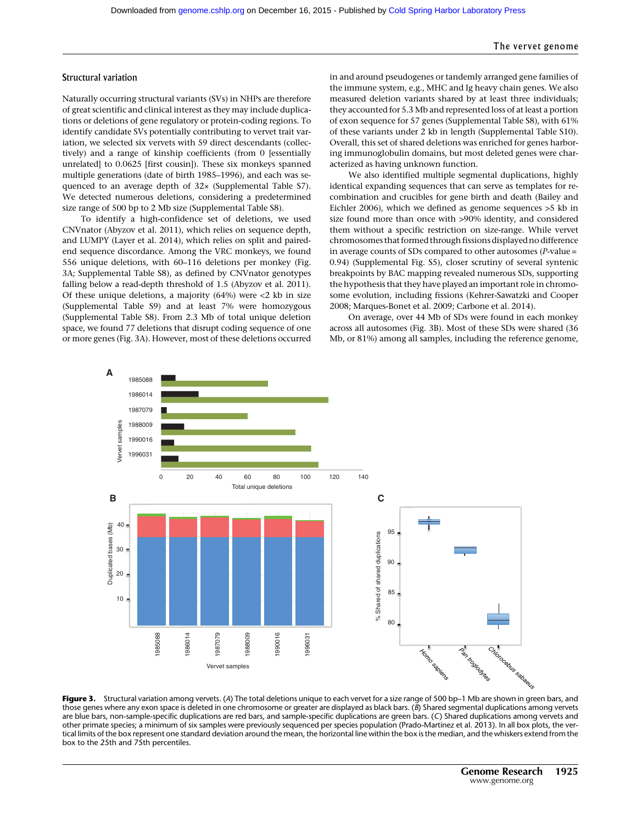# Structural variation

Naturally occurring structural variants (SVs) in NHPs are therefore of great scientific and clinical interest as they may include duplications or deletions of gene regulatory or protein-coding regions. To identify candidate SVs potentially contributing to vervet trait variation, we selected six vervets with 59 direct descendants (collectively) and a range of kinship coefficients (from 0 [essentially unrelated] to 0.0625 [first cousin]). These six monkeys spanned multiple generations (date of birth 1985–1996), and each was sequenced to an average depth of 32× (Supplemental Table S7). We detected numerous deletions, considering a predetermined size range of 500 bp to 2 Mb size (Supplemental Table S8).

To identify a high-confidence set of deletions, we used CNVnator (Abyzov et al. 2011), which relies on sequence depth, and LUMPY (Layer et al. 2014), which relies on split and pairedend sequence discordance. Among the VRC monkeys, we found 556 unique deletions, with 60–116 deletions per monkey (Fig. 3A; Supplemental Table S8), as defined by CNVnator genotypes falling below a read-depth threshold of 1.5 (Abyzov et al. 2011). Of these unique deletions, a majority (64%) were <2 kb in size (Supplemental Table S9) and at least 7% were homozygous (Supplemental Table S8). From 2.3 Mb of total unique deletion space, we found 77 deletions that disrupt coding sequence of one or more genes (Fig. 3A). However, most of these deletions occurred in and around pseudogenes or tandemly arranged gene families of the immune system, e.g., MHC and Ig heavy chain genes. We also measured deletion variants shared by at least three individuals; they accounted for 5.3 Mb and represented loss of at least a portion of exon sequence for 57 genes (Supplemental Table S8), with 61% of these variants under 2 kb in length (Supplemental Table S10). Overall, this set of shared deletions was enriched for genes harboring immunoglobulin domains, but most deleted genes were characterized as having unknown function.

We also identified multiple segmental duplications, highly identical expanding sequences that can serve as templates for recombination and crucibles for gene birth and death (Bailey and Eichler 2006), which we defined as genome sequences >5 kb in size found more than once with >90% identity, and considered them without a specific restriction on size-range. While vervet chromosomes that formed through fissions displayed no difference in average counts of SDs compared to other autosomes (P-value = 0.94) (Supplemental Fig. S5), closer scrutiny of several syntenic breakpoints by BAC mapping revealed numerous SDs, supporting the hypothesis that they have played an important role in chromosome evolution, including fissions (Kehrer-Sawatzki and Cooper 2008; Marques-Bonet et al. 2009; Carbone et al. 2014).

On average, over 44 Mb of SDs were found in each monkey across all autosomes (Fig. 3B). Most of these SDs were shared (36 Mb, or 81%) among all samples, including the reference genome,



Figure 3. Structural variation among vervets. (A) The total deletions unique to each vervet for a size range of 500 bp–1 Mb are shown in green bars, and those genes where any exon space is deleted in one chromosome or greater are displayed as black bars. (B) Shared segmental duplications among vervets are blue bars, non-sample-specific duplications are red bars, and sample-specific duplications are green bars. (C) Shared duplications among vervets and other primate species; a minimum of six samples were previously sequenced per species population (Prado-Martinez et al. 2013). In all box plots, the vertical limits of the box represent one standard deviation around the mean, the horizontal line within the box is the median, and the whiskers extend from the box to the 25th and 75th percentiles.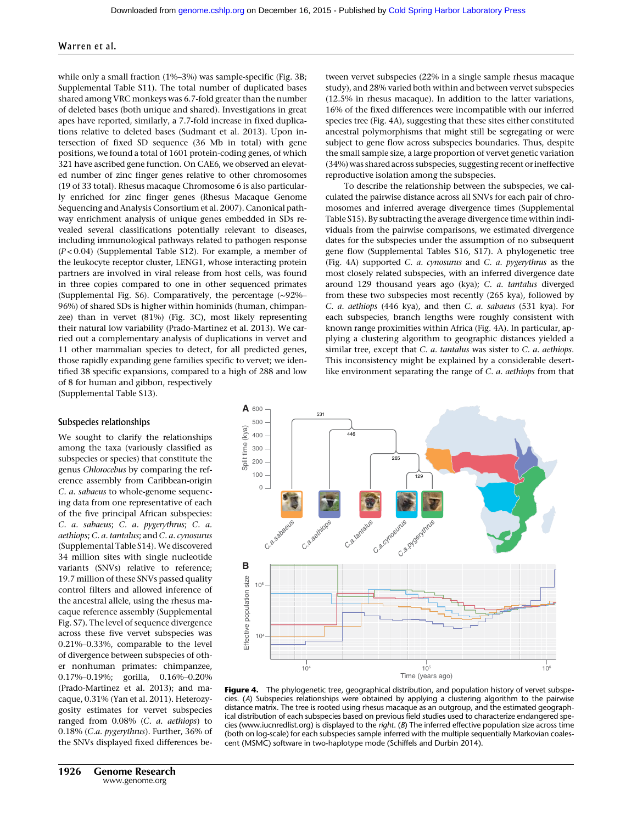while only a small fraction (1%–3%) was sample-specific (Fig. 3B; Supplemental Table S11). The total number of duplicated bases shared among VRC monkeys was 6.7-fold greater than the number of deleted bases (both unique and shared). Investigations in great apes have reported, similarly, a 7.7-fold increase in fixed duplications relative to deleted bases (Sudmant et al. 2013). Upon intersection of fixed SD sequence (36 Mb in total) with gene positions, we found a total of 1601 protein-coding genes, of which 321 have ascribed gene function. On CAE6, we observed an elevated number of zinc finger genes relative to other chromosomes (19 of 33 total). Rhesus macaque Chromosome 6 is also particularly enriched for zinc finger genes (Rhesus Macaque Genome Sequencing and Analysis Consortium et al. 2007). Canonical pathway enrichment analysis of unique genes embedded in SDs revealed several classifications potentially relevant to diseases, including immunological pathways related to pathogen response (P < 0.04) (Supplemental Table S12). For example, a member of the leukocyte receptor cluster, LENG1, whose interacting protein partners are involved in viral release from host cells, was found in three copies compared to one in other sequenced primates (Supplemental Fig. S6). Comparatively, the percentage (∼92%– 96%) of shared SDs is higher within hominids (human, chimpanzee) than in vervet (81%) (Fig. 3C), most likely representing their natural low variability (Prado-Martinez et al. 2013). We carried out a complementary analysis of duplications in vervet and 11 other mammalian species to detect, for all predicted genes, those rapidly expanding gene families specific to vervet; we identified 38 specific expansions, compared to a high of 288 and low of 8 for human and gibbon, respectively (Supplemental Table S13).

tween vervet subspecies (22% in a single sample rhesus macaque study), and 28% varied both within and between vervet subspecies (12.5% in rhesus macaque). In addition to the latter variations, 16% of the fixed differences were incompatible with our inferred species tree (Fig. 4A), suggesting that these sites either constituted ancestral polymorphisms that might still be segregating or were subject to gene flow across subspecies boundaries. Thus, despite the small sample size, a large proportion of vervet genetic variation (34%) was shared across subspecies, suggesting recent or ineffective reproductive isolation among the subspecies.

To describe the relationship between the subspecies, we calculated the pairwise distance across all SNVs for each pair of chromosomes and inferred average divergence times (Supplemental Table S15). By subtracting the average divergence time within individuals from the pairwise comparisons, we estimated divergence dates for the subspecies under the assumption of no subsequent gene flow (Supplemental Tables S16, S17). A phylogenetic tree (Fig. 4A) supported C. a. cynosurus and C. a. pygerythrus as the most closely related subspecies, with an inferred divergence date around 129 thousand years ago (kya); C. a. tantalus diverged from these two subspecies most recently (265 kya), followed by C. a. aethiops (446 kya), and then C. a. sabaeus (531 kya). For each subspecies, branch lengths were roughly consistent with known range proximities within Africa (Fig. 4A). In particular, applying a clustering algorithm to geographic distances yielded a similar tree, except that *C. a. tantalus* was sister to *C. a. aethiops*. This inconsistency might be explained by a considerable desertlike environment separating the range of C. a. aethiops from that

# **A** <sup>600</sup> 531 500 Split time (kya) Split time (kya)  $446$ 400 300 265 200 100 129 0 *C.a.tantalus C.a.cynosurus C.a.pygerythrus C.a.sabaeus C.a.aethiops* **B** Effective population size Effective population size  $10<sup>5</sup>$ 104 104  $10<sup>5</sup>$  $10<sup>6</sup>$ Time (years ago)

#### Figure 4. The phylogenetic tree, geographical distribution, and population history of vervet subspecies. (A) Subspecies relationships were obtained by applying a clustering algorithm to the pairwise distance matrix. The tree is rooted using rhesus macaque as an outgroup, and the estimated geographical distribution of each subspecies based on previous field studies used to characterize endangered species [\(www.iucnredlist.org\)](http://www.iucnredlist.org) is displayed to the right. (B) The inferred effective population size across time (both on log-scale) for each subspecies sample inferred with the multiple sequentially Markovian coalescent (MSMC) software in two-haplotype mode (Schiffels and Durbin 2014).

#### Subspecies relationships

We sought to clarify the relationships among the taxa (variously classified as subspecies or species) that constitute the genus Chlorocebus by comparing the reference assembly from Caribbean-origin C. a. sabaeus to whole-genome sequencing data from one representative of each of the five principal African subspecies: C. a. sabaeus; C. a. pygerythrus; C. a. aethiops; C. a. tantalus; and C. a. cynosurus (Supplemental Table S14). We discovered 34 million sites with single nucleotide variants (SNVs) relative to reference; 19.7 million of these SNVs passed quality control filters and allowed inference of the ancestral allele, using the rhesus macaque reference assembly (Supplemental Fig. S7). The level of sequence divergence across these five vervet subspecies was 0.21%–0.33%, comparable to the level of divergence between subspecies of other nonhuman primates: chimpanzee, 0.17%–0.19%; gorilla, 0.16%–0.20% (Prado-Martinez et al. 2013); and macaque, 0.31% (Yan et al. 2011). Heterozygosity estimates for vervet subspecies ranged from 0.08% (C. a. aethiops) to 0.18% (C.a. pygerythrus). Further, 36% of the SNVs displayed fixed differences be-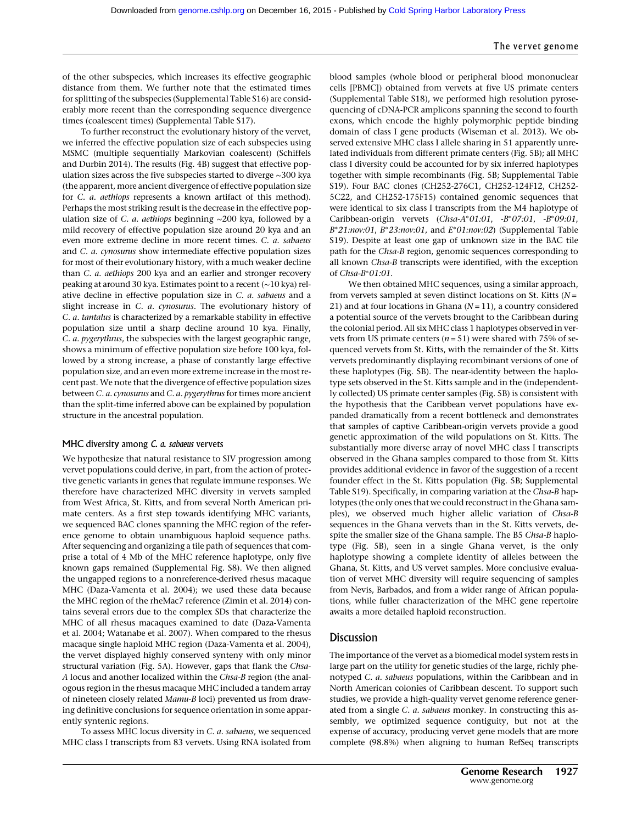of the other subspecies, which increases its effective geographic distance from them. We further note that the estimated times for splitting of the subspecies (Supplemental Table S16) are considerably more recent than the corresponding sequence divergence times (coalescent times) (Supplemental Table S17).

To further reconstruct the evolutionary history of the vervet, we inferred the effective population size of each subspecies using MSMC (multiple sequentially Markovian coalescent) (Schiffels and Durbin 2014). The results (Fig. 4B) suggest that effective population sizes across the five subspecies started to diverge ∼300 kya (the apparent, more ancient divergence of effective population size for C. a. aethiops represents a known artifact of this method). Perhaps the most striking result is the decrease in the effective population size of C. a. aethiops beginning ∼200 kya, followed by a mild recovery of effective population size around 20 kya and an even more extreme decline in more recent times. C. a. sabaeus and C. a. cynosurus show intermediate effective population sizes for most of their evolutionary history, with a much weaker decline than C. a. aethiops 200 kya and an earlier and stronger recovery peaking at around 30 kya. Estimates point to a recent (∼10 kya) relative decline in effective population size in C. a. sabaeus and a slight increase in C. a. cynosurus. The evolutionary history of C. a. tantalus is characterized by a remarkable stability in effective population size until a sharp decline around 10 kya. Finally, C. a. pygerythrus, the subspecies with the largest geographic range, shows a minimum of effective population size before 100 kya, followed by a strong increase, a phase of constantly large effective population size, and an even more extreme increase in the most recent past. We note that the divergence of effective population sizes between C. a. cynosurus and C. a. pygerythrus for times more ancient than the split-time inferred above can be explained by population structure in the ancestral population.

## MHC diversity among C. a. sabaeus vervets

We hypothesize that natural resistance to SIV progression among vervet populations could derive, in part, from the action of protective genetic variants in genes that regulate immune responses. We therefore have characterized MHC diversity in vervets sampled from West Africa, St. Kitts, and from several North American primate centers. As a first step towards identifying MHC variants, we sequenced BAC clones spanning the MHC region of the reference genome to obtain unambiguous haploid sequence paths. After sequencing and organizing a tile path of sequences that comprise a total of 4 Mb of the MHC reference haplotype, only five known gaps remained (Supplemental Fig. S8). We then aligned the ungapped regions to a nonreference-derived rhesus macaque MHC (Daza-Vamenta et al. 2004); we used these data because the MHC region of the rheMac7 reference (Zimin et al. 2014) contains several errors due to the complex SDs that characterize the MHC of all rhesus macaques examined to date (Daza-Vamenta et al. 2004; Watanabe et al. 2007). When compared to the rhesus macaque single haploid MHC region (Daza-Vamenta et al. 2004), the vervet displayed highly conserved synteny with only minor structural variation (Fig. 5A). However, gaps that flank the Chsa-A locus and another localized within the Chsa-B region (the analogous region in the rhesus macaque MHC included a tandem array of nineteen closely related Mamu-B loci) prevented us from drawing definitive conclusions for sequence orientation in some apparently syntenic regions.

To assess MHC locus diversity in C. a. sabaeus, we sequenced MHC class I transcripts from 83 vervets. Using RNA isolated from blood samples (whole blood or peripheral blood mononuclear cells [PBMC]) obtained from vervets at five US primate centers (Supplemental Table S18), we performed high resolution pyrosequencing of cDNA-PCR amplicons spanning the second to fourth exons, which encode the highly polymorphic peptide binding domain of class I gene products (Wiseman et al. 2013). We observed extensive MHC class I allele sharing in 51 apparently unrelated individuals from different primate centers (Fig. 5B); all MHC class I diversity could be accounted for by six inferred haplotypes together with simple recombinants (Fig. 5B; Supplemental Table S19). Four BAC clones (CH252-276C1, CH252-124F12, CH252- 5C22, and CH252-175F15) contained genomic sequences that were identical to six class I transcripts from the M4 haplotype of Caribbean-origin vervets (Chsa-A∗01:01, -B∗07:01, -B∗09:01, B∗21:nov:01, B∗23:nov:01, and E∗01:nov:02) (Supplemental Table S19). Despite at least one gap of unknown size in the BAC tile path for the Chsa-B region, genomic sequences corresponding to all known Chsa-B transcripts were identified, with the exception of Chsa-B∗01:01.

We then obtained MHC sequences, using a similar approach, from vervets sampled at seven distinct locations on St. Kitts  $(N =$ 21) and at four locations in Ghana ( $N = 11$ ), a country considered a potential source of the vervets brought to the Caribbean during the colonial period. All six MHC class 1 haplotypes observed in vervets from US primate centers ( $n = 51$ ) were shared with 75% of sequenced vervets from St. Kitts, with the remainder of the St. Kitts vervets predominantly displaying recombinant versions of one of these haplotypes (Fig. 5B). The near-identity between the haplotype sets observed in the St. Kitts sample and in the (independently collected) US primate center samples (Fig. 5B) is consistent with the hypothesis that the Caribbean vervet populations have expanded dramatically from a recent bottleneck and demonstrates that samples of captive Caribbean-origin vervets provide a good genetic approximation of the wild populations on St. Kitts. The substantially more diverse array of novel MHC class I transcripts observed in the Ghana samples compared to those from St. Kitts provides additional evidence in favor of the suggestion of a recent founder effect in the St. Kitts population (Fig. 5B; Supplemental Table S19). Specifically, in comparing variation at the Chsa-B haplotypes (the only ones that we could reconstruct in the Ghana samples), we observed much higher allelic variation of Chsa-B sequences in the Ghana vervets than in the St. Kitts vervets, despite the smaller size of the Ghana sample. The B5 Chsa-B haplotype (Fig. 5B), seen in a single Ghana vervet, is the only haplotype showing a complete identity of alleles between the Ghana, St. Kitts, and US vervet samples. More conclusive evaluation of vervet MHC diversity will require sequencing of samples from Nevis, Barbados, and from a wider range of African populations, while fuller characterization of the MHC gene repertoire awaits a more detailed haploid reconstruction.

# Discussion

The importance of the vervet as a biomedical model system rests in large part on the utility for genetic studies of the large, richly phenotyped C. a. sabaeus populations, within the Caribbean and in North American colonies of Caribbean descent. To support such studies, we provide a high-quality vervet genome reference generated from a single C. a. sabaeus monkey. In constructing this assembly, we optimized sequence contiguity, but not at the expense of accuracy, producing vervet gene models that are more complete (98.8%) when aligning to human RefSeq transcripts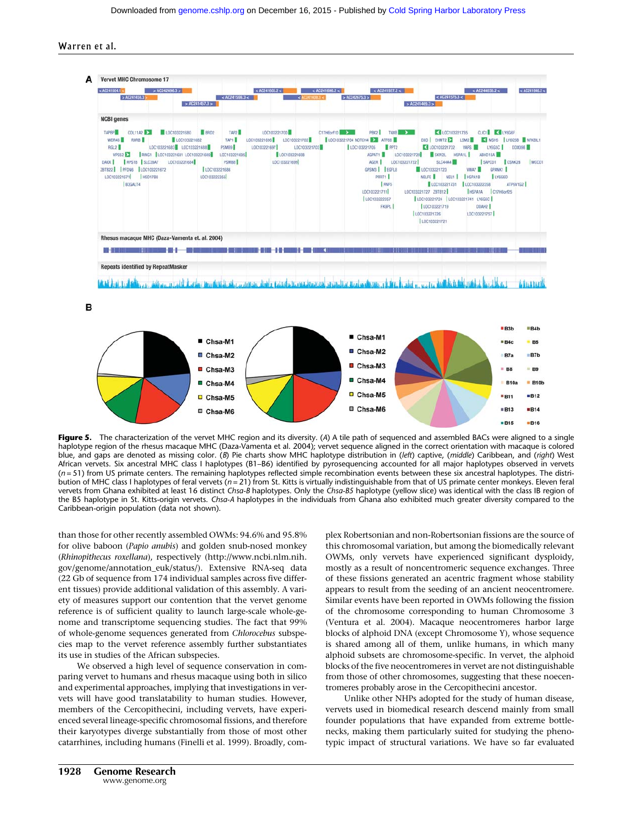

B



Figure 5. The characterization of the vervet MHC region and its diversity. (A) A tile path of sequenced and assembled BACs were aligned to a single haplotype region of the rhesus macaque MHC (Daza-Vamenta et al. 2004); vervet sequence aligned in the correct orientation with macaque is colored blue, and gaps are denoted as missing color. (B) Pie charts show MHC haplotype distribution in (left) captive, (middle) Caribbean, and (right) West African vervets. Six ancestral MHC class I haplotypes (B1–B6) identified by pyrosequencing accounted for all major haplotypes observed in vervets  $(n = 51)$  from US primate centers. The remaining haplotypes reflected simple recombination events between these six ancestral haplotypes. The distribution of MHC class I haplotypes of feral vervets ( $n = 21$ ) from St. Kitts is virtually indistinguishable from that of US primate center monkeys. Eleven feral vervets from Ghana exhibited at least 16 distinct Chsa-B haplotypes. Only the Chsa-B5 haplotype (yellow slice) was identical with the class IB region of the B5 haplotype in St. Kitts-origin vervets. Chsa-A haplotypes in the individuals from Ghana also exhibited much greater diversity compared to the Caribbean-origin population (data not shown).

than those for other recently assembled OWMs: 94.6% and 95.8% for olive baboon (Papio anubis) and golden snub-nosed monkey (Rhinopithecus roxellana), respectively ([http://www.ncbi.nlm.nih.](http://www.ncbi.nlm.nih.gov/genome/annotation_euk/status/) [gov/genome/annotation\\_euk/status/\)](http://www.ncbi.nlm.nih.gov/genome/annotation_euk/status/). Extensive RNA-seq data (22 Gb of sequence from 174 individual samples across five different tissues) provide additional validation of this assembly. A variety of measures support our contention that the vervet genome reference is of sufficient quality to launch large-scale whole-genome and transcriptome sequencing studies. The fact that 99% of whole-genome sequences generated from Chlorocebus subspecies map to the vervet reference assembly further substantiates its use in studies of the African subspecies.

We observed a high level of sequence conservation in comparing vervet to humans and rhesus macaque using both in silico and experimental approaches, implying that investigations in vervets will have good translatability to human studies. However, members of the Cercopithecini, including vervets, have experienced several lineage-specific chromosomal fissions, and therefore their karyotypes diverge substantially from those of most other catarrhines, including humans (Finelli et al. 1999). Broadly, complex Robertsonian and non-Robertsonian fissions are the source of this chromosomal variation, but among the biomedically relevant OWMs, only vervets have experienced significant dysploidy, mostly as a result of noncentromeric sequence exchanges. Three of these fissions generated an acentric fragment whose stability appears to result from the seeding of an ancient neocentromere. Similar events have been reported in OWMs following the fission of the chromosome corresponding to human Chromosome 3 (Ventura et al. 2004). Macaque neocentromeres harbor large blocks of alphoid DNA (except Chromosome Y), whose sequence is shared among all of them, unlike humans, in which many alphoid subsets are chromosome-specific. In vervet, the alphoid blocks of the five neocentromeres in vervet are not distinguishable from those of other chromosomes, suggesting that these noecentromeres probably arose in the Cercopithecini ancestor.

Unlike other NHPs adopted for the study of human disease, vervets used in biomedical research descend mainly from small founder populations that have expanded from extreme bottlenecks, making them particularly suited for studying the phenotypic impact of structural variations. We have so far evaluated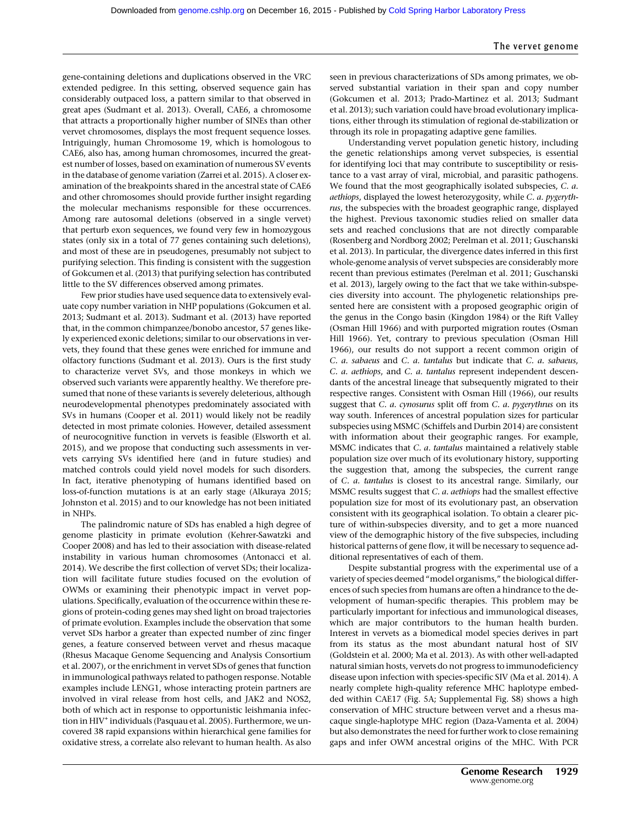gene-containing deletions and duplications observed in the VRC extended pedigree. In this setting, observed sequence gain has considerably outpaced loss, a pattern similar to that observed in great apes (Sudmant et al. 2013). Overall, CAE6, a chromosome that attracts a proportionally higher number of SINEs than other vervet chromosomes, displays the most frequent sequence losses. Intriguingly, human Chromosome 19, which is homologous to CAE6, also has, among human chromosomes, incurred the greatest number of losses, based on examination of numerous SV events in the database of genome variation (Zarrei et al. 2015). A closer examination of the breakpoints shared in the ancestral state of CAE6 and other chromosomes should provide further insight regarding the molecular mechanisms responsible for these occurrences. Among rare autosomal deletions (observed in a single vervet) that perturb exon sequences, we found very few in homozygous states (only six in a total of 77 genes containing such deletions), and most of these are in pseudogenes, presumably not subject to purifying selection. This finding is consistent with the suggestion of Gokcumen et al. (2013) that purifying selection has contributed little to the SV differences observed among primates.

Few prior studies have used sequence data to extensively evaluate copy number variation in NHP populations (Gokcumen et al. 2013; Sudmant et al. 2013). Sudmant et al. (2013) have reported that, in the common chimpanzee/bonobo ancestor, 57 genes likely experienced exonic deletions; similar to our observations in vervets, they found that these genes were enriched for immune and olfactory functions (Sudmant et al. 2013). Ours is the first study to characterize vervet SVs, and those monkeys in which we observed such variants were apparently healthy. We therefore presumed that none of these variants is severely deleterious, although neurodevelopmental phenotypes predominately associated with SVs in humans (Cooper et al. 2011) would likely not be readily detected in most primate colonies. However, detailed assessment of neurocognitive function in vervets is feasible (Elsworth et al. 2015), and we propose that conducting such assessments in vervets carrying SVs identified here (and in future studies) and matched controls could yield novel models for such disorders. In fact, iterative phenotyping of humans identified based on loss-of-function mutations is at an early stage (Alkuraya 2015; Johnston et al. 2015) and to our knowledge has not been initiated in NHPs.

The palindromic nature of SDs has enabled a high degree of genome plasticity in primate evolution (Kehrer-Sawatzki and Cooper 2008) and has led to their association with disease-related instability in various human chromosomes (Antonacci et al. 2014). We describe the first collection of vervet SDs; their localization will facilitate future studies focused on the evolution of OWMs or examining their phenotypic impact in vervet populations. Specifically, evaluation of the occurrence within these regions of protein-coding genes may shed light on broad trajectories of primate evolution. Examples include the observation that some vervet SDs harbor a greater than expected number of zinc finger genes, a feature conserved between vervet and rhesus macaque (Rhesus Macaque Genome Sequencing and Analysis Consortium et al. 2007), or the enrichment in vervet SDs of genes that function in immunological pathways related to pathogen response. Notable examples include LENG1, whose interacting protein partners are involved in viral release from host cells, and JAK2 and NOS2, both of which act in response to opportunistic leishmania infection in HIV<sup>+</sup> individuals (Pasquau et al. 2005). Furthermore, we uncovered 38 rapid expansions within hierarchical gene families for oxidative stress, a correlate also relevant to human health. As also

seen in previous characterizations of SDs among primates, we observed substantial variation in their span and copy number (Gokcumen et al. 2013; Prado-Martinez et al. 2013; Sudmant et al. 2013); such variation could have broad evolutionary implications, either through its stimulation of regional de-stabilization or through its role in propagating adaptive gene families.

Understanding vervet population genetic history, including the genetic relationships among vervet subspecies, is essential for identifying loci that may contribute to susceptibility or resistance to a vast array of viral, microbial, and parasitic pathogens. We found that the most geographically isolated subspecies, *C. a.* aethiops, displayed the lowest heterozygosity, while C. a. pygerythrus, the subspecies with the broadest geographic range, displayed the highest. Previous taxonomic studies relied on smaller data sets and reached conclusions that are not directly comparable (Rosenberg and Nordborg 2002; Perelman et al. 2011; Guschanski et al. 2013). In particular, the divergence dates inferred in this first whole-genome analysis of vervet subspecies are considerably more recent than previous estimates (Perelman et al. 2011; Guschanski et al. 2013), largely owing to the fact that we take within-subspecies diversity into account. The phylogenetic relationships presented here are consistent with a proposed geographic origin of the genus in the Congo basin (Kingdon 1984) or the Rift Valley (Osman Hill 1966) and with purported migration routes (Osman Hill 1966). Yet, contrary to previous speculation (Osman Hill 1966), our results do not support a recent common origin of C. a. sabaeus and C. a. tantalus but indicate that C. a. sabaeus, C. a. aethiops, and C. a. tantalus represent independent descendants of the ancestral lineage that subsequently migrated to their respective ranges. Consistent with Osman Hill (1966), our results suggest that *C. a. cynosurus* split off from *C. a. pygerythrus* on its way south. Inferences of ancestral population sizes for particular subspecies using MSMC (Schiffels and Durbin 2014) are consistent with information about their geographic ranges. For example, MSMC indicates that C. a. tantalus maintained a relatively stable population size over much of its evolutionary history, supporting the suggestion that, among the subspecies, the current range of C. a. tantalus is closest to its ancestral range. Similarly, our MSMC results suggest that C. a. aethiops had the smallest effective population size for most of its evolutionary past, an observation consistent with its geographical isolation. To obtain a clearer picture of within-subspecies diversity, and to get a more nuanced view of the demographic history of the five subspecies, including historical patterns of gene flow, it will be necessary to sequence additional representatives of each of them.

Despite substantial progress with the experimental use of a variety of species deemed "model organisms," the biological differences of such species from humans are often a hindrance to the development of human-specific therapies. This problem may be particularly important for infectious and immunological diseases, which are major contributors to the human health burden. Interest in vervets as a biomedical model species derives in part from its status as the most abundant natural host of SIV (Goldstein et al. 2000; Ma et al. 2013). As with other well-adapted natural simian hosts, vervets do not progress to immunodeficiency disease upon infection with species-specific SIV (Ma et al. 2014). A nearly complete high-quality reference MHC haplotype embedded within CAE17 (Fig. 5A; Supplemental Fig. S8) shows a high conservation of MHC structure between vervet and a rhesus macaque single-haplotype MHC region (Daza-Vamenta et al. 2004) but also demonstrates the need for further work to close remaining gaps and infer OWM ancestral origins of the MHC. With PCR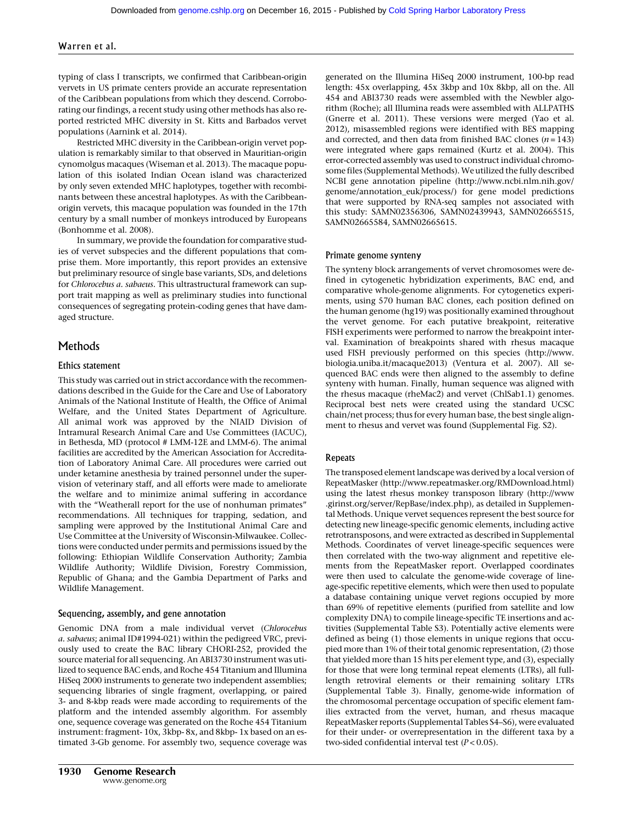typing of class I transcripts, we confirmed that Caribbean-origin vervets in US primate centers provide an accurate representation of the Caribbean populations from which they descend. Corroborating our findings, a recent study using other methods has also reported restricted MHC diversity in St. Kitts and Barbados vervet populations (Aarnink et al. 2014).

Restricted MHC diversity in the Caribbean-origin vervet population is remarkably similar to that observed in Mauritian-origin cynomolgus macaques (Wiseman et al. 2013). The macaque population of this isolated Indian Ocean island was characterized by only seven extended MHC haplotypes, together with recombinants between these ancestral haplotypes. As with the Caribbeanorigin vervets, this macaque population was founded in the 17th century by a small number of monkeys introduced by Europeans (Bonhomme et al. 2008).

In summary, we provide the foundation for comparative studies of vervet subspecies and the different populations that comprise them. More importantly, this report provides an extensive but preliminary resource of single base variants, SDs, and deletions for Chlorocebus a. sabaeus. This ultrastructural framework can support trait mapping as well as preliminary studies into functional consequences of segregating protein-coding genes that have damaged structure.

# Methods

# Ethics statement

This study was carried out in strict accordance with the recommendations described in the Guide for the Care and Use of Laboratory Animals of the National Institute of Health, the Office of Animal Welfare, and the United States Department of Agriculture. All animal work was approved by the NIAID Division of Intramural Research Animal Care and Use Committees (IACUC), in Bethesda, MD (protocol # LMM-12E and LMM-6). The animal facilities are accredited by the American Association for Accreditation of Laboratory Animal Care. All procedures were carried out under ketamine anesthesia by trained personnel under the supervision of veterinary staff, and all efforts were made to ameliorate the welfare and to minimize animal suffering in accordance with the "Weatherall report for the use of nonhuman primates" recommendations. All techniques for trapping, sedation, and sampling were approved by the Institutional Animal Care and Use Committee at the University of Wisconsin-Milwaukee. Collections were conducted under permits and permissions issued by the following: Ethiopian Wildlife Conservation Authority; Zambia Wildlife Authority; Wildlife Division, Forestry Commission, Republic of Ghana; and the Gambia Department of Parks and Wildlife Management.

# Sequencing, assembly, and gene annotation

Genomic DNA from a male individual vervet (Chlorocebus a. sabaeus; animal ID#1994-021) within the pedigreed VRC, previously used to create the BAC library CHORI-252, provided the source material for all sequencing. An ABI3730 instrument was utilized to sequence BAC ends, and Roche 454 Titanium and Illumina HiSeq 2000 instruments to generate two independent assemblies; sequencing libraries of single fragment, overlapping, or paired 3- and 8-kbp reads were made according to requirements of the platform and the intended assembly algorithm. For assembly one, sequence coverage was generated on the Roche 454 Titanium instrument: fragment- 10x, 3kbp- 8x, and 8kbp- 1x based on an estimated 3-Gb genome. For assembly two, sequence coverage was generated on the Illumina HiSeq 2000 instrument, 100-bp read length: 45x overlapping, 45x 3kbp and 10x 8kbp, all on the. All 454 and ABI3730 reads were assembled with the Newbler algorithm (Roche); all Illumina reads were assembled with ALLPATHS (Gnerre et al. 2011). These versions were merged (Yao et al. 2012), misassembled regions were identified with BES mapping and corrected, and then data from finished BAC clones  $(n = 143)$ were integrated where gaps remained (Kurtz et al. 2004). This error-corrected assembly was used to construct individual chromosome files (Supplemental Methods). We utilized the fully described NCBI gene annotation pipeline [\(http://www.ncbi.nlm.nih.gov/](http://www.ncbi.nlm.nih.gov/genome/annotation_euk/process/) [genome/annotation\\_euk/process/](http://www.ncbi.nlm.nih.gov/genome/annotation_euk/process/)) for gene model predictions that were supported by RNA-seq samples not associated with this study: SAMN02356306, SAMN02439943, SAMN02665515, SAMN02665584, SAMN02665615.

# Primate genome synteny

The synteny block arrangements of vervet chromosomes were defined in cytogenetic hybridization experiments, BAC end, and comparative whole-genome alignments. For cytogenetics experiments, using 570 human BAC clones, each position defined on the human genome (hg19) was positionally examined throughout the vervet genome. For each putative breakpoint, reiterative FISH experiments were performed to narrow the breakpoint interval. Examination of breakpoints shared with rhesus macaque used FISH previously performed on this species [\(http://www.](http://www.biologia.uniba.it/macaque2013) [biologia.uniba.it/macaque2013](http://www.biologia.uniba.it/macaque2013)) (Ventura et al. 2007). All sequenced BAC ends were then aligned to the assembly to define synteny with human. Finally, human sequence was aligned with the rhesus macaque (rheMac2) and vervet (ChlSab1.1) genomes. Reciprocal best nets were created using the standard UCSC chain/net process; thus for every human base, the best single alignment to rhesus and vervet was found (Supplemental Fig. S2).

# Repeats

The transposed element landscape was derived by a local version of RepeatMasker [\(http://www.repeatmasker.org/RMDownload.html](http://www.repeatmasker.org/RMDownload.html)) using the latest rhesus monkey transposon library ([http://www](http://www.girinst.org/server/RepBase/index.php) [.girinst.org/server/RepBase/index.php\)](http://www.girinst.org/server/RepBase/index.php), as detailed in Supplemental Methods. Unique vervet sequences represent the best source for detecting new lineage-specific genomic elements, including active retrotransposons, and were extracted as described in Supplemental Methods. Coordinates of vervet lineage-specific sequences were then correlated with the two-way alignment and repetitive elements from the RepeatMasker report. Overlapped coordinates were then used to calculate the genome-wide coverage of lineage-specific repetitive elements, which were then used to populate a database containing unique vervet regions occupied by more than 69% of repetitive elements (purified from satellite and low complexity DNA) to compile lineage-specific TE insertions and activities (Supplemental Table S3). Potentially active elements were defined as being (1) those elements in unique regions that occupied more than 1% of their total genomic representation, (2) those that yielded more than 15 hits per element type, and (3), especially for those that were long terminal repeat elements (LTRs), all fulllength retroviral elements or their remaining solitary LTRs (Supplemental Table 3). Finally, genome-wide information of the chromosomal percentage occupation of specific element families extracted from the vervet, human, and rhesus macaque RepeatMasker reports (Supplemental Tables S4–S6), were evaluated for their under- or overrepresentation in the different taxa by a two-sided confidential interval test  $(P < 0.05)$ .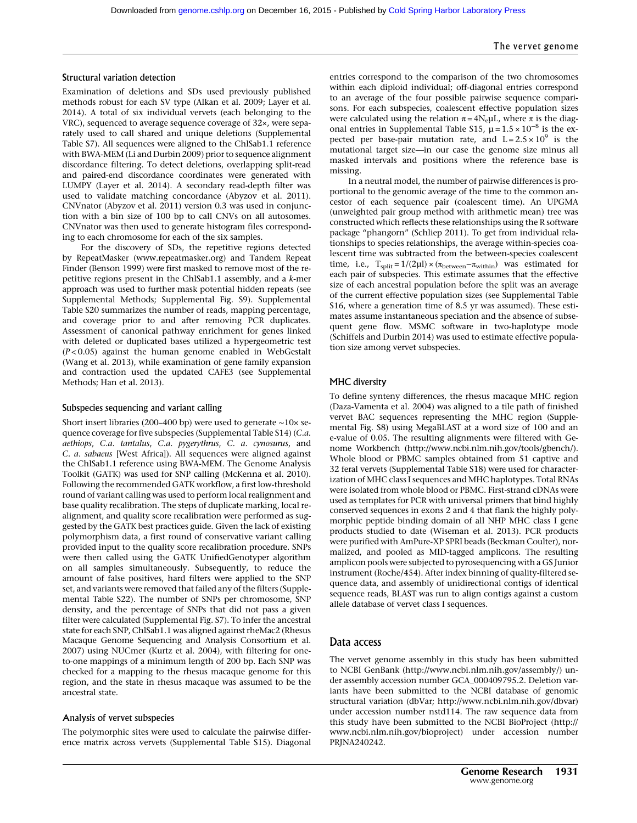# Structural variation detection

Examination of deletions and SDs used previously published methods robust for each SV type (Alkan et al. 2009; Layer et al. 2014). A total of six individual vervets (each belonging to the VRC), sequenced to average sequence coverage of 32×, were separately used to call shared and unique deletions (Supplemental Table S7). All sequences were aligned to the ChlSab1.1 reference with BWA-MEM (Li and Durbin 2009) prior to sequence alignment discordance filtering. To detect deletions, overlapping split-read and paired-end discordance coordinates were generated with LUMPY (Layer et al. 2014). A secondary read-depth filter was used to validate matching concordance (Abyzov et al. 2011). CNVnator (Abyzov et al. 2011) version 0.3 was used in conjunction with a bin size of 100 bp to call CNVs on all autosomes. CNVnator was then used to generate histogram files corresponding to each chromosome for each of the six samples.

For the discovery of SDs, the repetitive regions detected by RepeatMasker [\(www.repeatmasker.org](http://www.repeatmasker.org)) and Tandem Repeat Finder (Benson 1999) were first masked to remove most of the repetitive regions present in the ChlSab1.1 assembly, and a k-mer approach was used to further mask potential hidden repeats (see Supplemental Methods; Supplemental Fig. S9). Supplemental Table S20 summarizes the number of reads, mapping percentage, and coverage prior to and after removing PCR duplicates. Assessment of canonical pathway enrichment for genes linked with deleted or duplicated bases utilized a hypergeometric test  $(P<0.05)$  against the human genome enabled in WebGestalt (Wang et al. 2013), while examination of gene family expansion and contraction used the updated CAFE3 (see Supplemental Methods; Han et al. 2013).

#### Subspecies sequencing and variant calling

Short insert libraries (200–400 bp) were used to generate ∼10× sequence coverage for five subspecies (Supplemental Table S14) (C.a. aethiops, C.a. tantalus, C.a. pygerythrus, C. a. cynosurus, and C. a. sabaeus [West Africa]). All sequences were aligned against the ChlSab1.1 reference using BWA-MEM. The Genome Analysis Toolkit (GATK) was used for SNP calling (McKenna et al. 2010). Following the recommended GATK workflow, a first low-threshold round of variant calling was used to perform local realignment and base quality recalibration. The steps of duplicate marking, local realignment, and quality score recalibration were performed as suggested by the GATK best practices guide. Given the lack of existing polymorphism data, a first round of conservative variant calling provided input to the quality score recalibration procedure. SNPs were then called using the GATK UnifiedGenotyper algorithm on all samples simultaneously. Subsequently, to reduce the amount of false positives, hard filters were applied to the SNP set, and variants were removed that failed any of the filters (Supplemental Table S22). The number of SNPs per chromosome, SNP density, and the percentage of SNPs that did not pass a given filter were calculated (Supplemental Fig. S7). To infer the ancestral state for each SNP, ChlSab1.1 was aligned against rheMac2 (Rhesus Macaque Genome Sequencing and Analysis Consortium et al. 2007) using NUCmer (Kurtz et al. 2004), with filtering for oneto-one mappings of a minimum length of 200 bp. Each SNP was checked for a mapping to the rhesus macaque genome for this region, and the state in rhesus macaque was assumed to be the ancestral state.

#### Analysis of vervet subspecies

The polymorphic sites were used to calculate the pairwise difference matrix across vervets (Supplemental Table S15). Diagonal

entries correspond to the comparison of the two chromosomes within each diploid individual; off-diagonal entries correspond to an average of the four possible pairwise sequence comparisons. For each subspecies, coalescent effective population sizes were calculated using the relation  $\pi = 4N_{\rm e} \mu L$ , where  $\pi$  is the diagonal entries in Supplemental Table S15,  $\mu = 1.5 \times 10^{-8}$  is the expected per base-pair mutation rate, and  $L = 2.5 \times 10^9$  is the mutational target size—in our case the genome size minus all masked intervals and positions where the reference base is missing.

In a neutral model, the number of pairwise differences is proportional to the genomic average of the time to the common ancestor of each sequence pair (coalescent time). An UPGMA (unweighted pair group method with arithmetic mean) tree was constructed which reflects these relationships using the R software package "phangorn" (Schliep 2011). To get from individual relationships to species relationships, the average within-species coalescent time was subtracted from the between-species coalescent time, i.e.,  $T_{split} = 1/(2\mu I) \times (\pi_{between} - \pi_{within})$  was estimated for each pair of subspecies. This estimate assumes that the effective size of each ancestral population before the split was an average of the current effective population sizes (see Supplemental Table S16, where a generation time of 8.5 yr was assumed). These estimates assume instantaneous speciation and the absence of subsequent gene flow. MSMC software in two-haplotype mode (Schiffels and Durbin 2014) was used to estimate effective population size among vervet subspecies.

#### MHC diversity

To define synteny differences, the rhesus macaque MHC region (Daza-Vamenta et al. 2004) was aligned to a tile path of finished vervet BAC sequences representing the MHC region (Supplemental Fig. S8) using MegaBLAST at a word size of 100 and an e-value of 0.05. The resulting alignments were filtered with Genome Workbench (<http://www.ncbi.nlm.nih.gov/tools/gbench/>). Whole blood or PBMC samples obtained from 51 captive and 32 feral vervets (Supplemental Table S18) were used for characterization of MHC class I sequences and MHC haplotypes. Total RNAs were isolated from whole blood or PBMC. First-strand cDNAs were used as templates for PCR with universal primers that bind highly conserved sequences in exons 2 and 4 that flank the highly polymorphic peptide binding domain of all NHP MHC class I gene products studied to date (Wiseman et al. 2013). PCR products were purified with AmPure-XP SPRI beads (Beckman Coulter), normalized, and pooled as MID-tagged amplicons. The resulting amplicon pools were subjected to pyrosequencing with a GS Junior instrument (Roche/454). After index binning of quality-filtered sequence data, and assembly of unidirectional contigs of identical sequence reads, BLAST was run to align contigs against a custom allele database of vervet class I sequences.

# Data access

The vervet genome assembly in this study has been submitted to NCBI GenBank ([http://www.ncbi.nlm.nih.gov/assembly/\)](http://www.ncbi.nlm.nih.gov/assembly/) under assembly accession number GCA\_000409795.2. Deletion variants have been submitted to the NCBI database of genomic structural variation (dbVar;<http://www.ncbi.nlm.nih.gov/dbvar>) under accession number nstd114. The raw sequence data from this study have been submitted to the NCBI BioProject ([http://](http://www.ncbi.nlm.nih.gov/bioproject) [www.ncbi.nlm.nih.gov/bioproject](http://www.ncbi.nlm.nih.gov/bioproject)) under accession number PRJNA240242.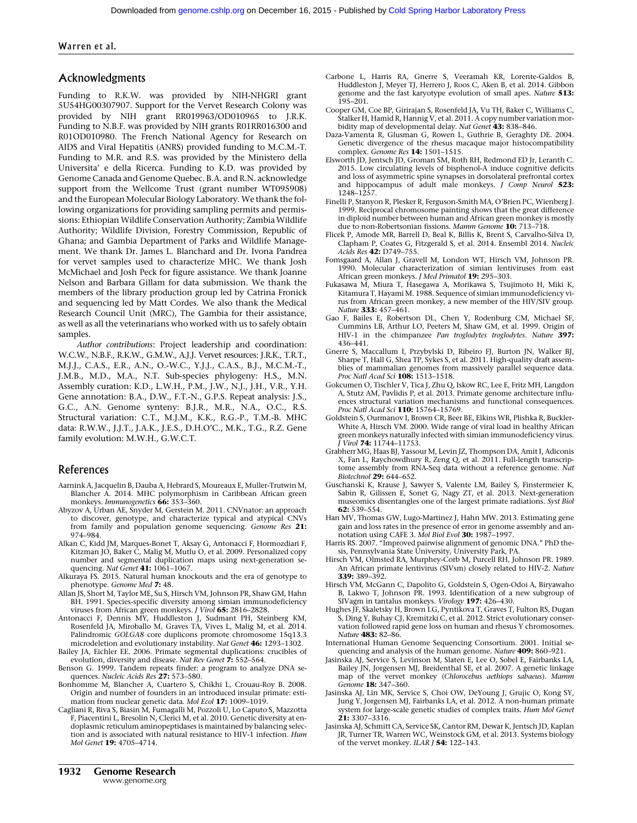# Acknowledgments

Funding to R.K.W. was provided by NIH-NHGRI grant 5U54HG00307907. Support for the Vervet Research Colony was provided by NIH grant RR019963/OD010965 to J.R.K. Funding to N.B.F. was provided by NIH grants R01RR016300 and R01OD010980. The French National Agency for Research on AIDS and Viral Hepatitis (ANRS) provided funding to M.C.M.-T. Funding to M.R. and R.S. was provided by the Ministero della Universita' e della Ricerca. Funding to K.D. was provided by Genome Canada and Genome Quebec. B.A. and R.N. acknowledge support from the Wellcome Trust (grant number WT095908) and the European Molecular Biology Laboratory. We thank the following organizations for providing sampling permits and permissions: Ethiopian Wildlife Conservation Authority; Zambia Wildlife Authority; Wildlife Division, Forestry Commission, Republic of Ghana; and Gambia Department of Parks and Wildlife Management. We thank Dr. James L. Blanchard and Dr. Ivona Pandrea for vervet samples used to characterize MHC. We thank Josh McMichael and Josh Peck for figure assistance. We thank Joanne Nelson and Barbara Gillam for data submission. We thank the members of the library production group led by Catrina Fronick and sequencing led by Matt Cordes. We also thank the Medical Research Council Unit (MRC), The Gambia for their assistance, as well as all the veterinarians who worked with us to safely obtain samples.

Author contributions: Project leadership and coordination: W.C.W., N.B.F., R.K.W., G.M.W., A.J.J. Vervet resources: J.R.K., T.R.T., M.J.J., C.A.S., E.R., A.N., O.-W.C., Y.J.J., C.A.S., B.J., M.C.M.-T., J.M.B., M.D., M.A., N.T. Sub-species phylogeny: H.S., M.N. Assembly curation: K.D., L.W.H., P.M., J.W., N.J., J.H., V.R., Y.H. Gene annotation: B.A., D.W., F.T.-N., G.P.S. Repeat analysis: J.S., G.C., A.N. Genome synteny: B.J.R., M.R., N.A., O.C., R.S. Structural variation: C.T., M.J.M., K.K., R.G.-P., T.M.-B. MHC data: R.W.W., J.J.T., J.A.K., J.E.S., D.H.O'C., M.K., T.G., R.Z. Gene family evolution: M.W.H., G.W.C.T.

# References

- Aarnink A, Jacquelin B, Dauba A, Hebrard S, Moureaux E, Muller-Trutwin M, Blancher A. 2014. MHC polymorphism in Caribbean African green<br>monkeys.*Immunogenetics* **66:** 353–360.
- Abyzov A, Urban AE, Snyder M, Gerstein M. 2011. CNVnator: an approach to discover, genotype, and characterize typical and atypical CNVs from family and population genome sequencing. Genome Res 21: 974–984.
- Alkan C, Kidd JM, Marques-Bonet T, Aksay G, Antonacci F, Hormozdiari F, Kitzman JO, Baker C, Malig M, Mutlu O, et al. 2009. Personalized copy number and segmental duplication maps using next-generation se-
- quencing. *Nat Genet* 41: 1061–1067.<br>Alkuraya FS. 2015. Natural human knockouts and the era of genotype to phenotype. Genome Med 7: 48.
- Allan JS, Short M, Taylor ME, Su S, Hirsch VM, Johnson PR, Shaw GM, Hahn BH. 1991. Species-specific diversity among simian immunodeficiency viruses from African green monkeys. J Virol 65: 2816–2828.
- Antonacci F, Dennis MY, Huddleston J, Sudmant PH, Steinberg KM, Rosenfeld JA, Miroballo M, Graves TA, Vives L, Malig M, et al. 2014. Palindromic GOLGA8 core duplicons promote chromosome 15q13.3 microdeletion and evolutionary instability. Nat Genet 46: 1293-1302.
- Bailey JA, Eichler EE. 2006. Primate segmental duplications: crucibles of evolution, diversity and disease. Nat Rev Genet 7: 552-564.
- Benson G. 1999. Tandem repeats finder: a program to analyze DNA sequences. Nucleic Acids Res 27: 573–580.
- Bonhomme M, Blancher A, Cuartero S, Chikhi L, Crouau-Roy B. 2008. Origin and number of founders in an introduced insular primate: estimation from nuclear genetic data. Mol Ecol 17: 1009-1019
- Cagliani R, Riva S, Biasin M, Fumagalli M, Pozzoli U, Lo Caputo S, Mazzotta F, Piacentini L, Bresolin N, Clerici M, et al. 2010. Genetic diversity at endoplasmic reticulum aminopeptidases is maintained by balancing selection and is associated with natural resistance to HIV-1 infection. Hum Mol Genet 19: 4705–4714.
- Carbone L, Harris RA, Gnerre S, Veeramah KR, Lorente-Galdos B, Huddleston J, Meyer TJ, Herrero J, Roos C, Aken B, et al. 2014. Gibbon genome and the fast karyotype evolution of small apes. Nature 513: 195–201.
- Cooper GM, Coe BP, Girirajan S, Rosenfeld JA, Vu TH, Baker C, Williams C, Stalker H, Hamid R, Hannig V, et al. 2011. A copy number variation morbidity map of developmental delay. Nat Genet 43: 838-846.
- Daza-Vamenta R, Glusman G, Rowen L, Guthrie B, Geraghty DE. 2004. Genetic divergence of the rhesus macaque major histocompatibility complex. Genome Res 14: 1501–1515.
- Elsworth JD, Jentsch JD, Groman SM, Roth RH, Redmond ED Jr, Leranth C. 2015. Low circulating levels of bisphenol-A induce cognitive deficits and loss of asymmetric spine synapses in dorsolateral prefrontal cortex and hippocampus of adult male monkeys. J Comp Neurol 523: 1248–1257.
- Finelli P, Stanyon R, Plesker R, Ferguson-Smith MA, O'Brien PC, Wienberg J. 1999. Reciprocal chromosome painting shows that the great difference in diploid number between human and African green monkey is mostly due to non-Robertsonian fissions. Mamm Genome 10: 713-718.
- Flicek P, Amode MR, Barrell D, Beal K, Billis K, Brent S, Carvalho-Silva D, Clapham P, Coates G, Fitzgerald S, et al. 2014. Ensembl 2014. Nucleic Acids Res 42: D749–755.
- Fomsgaard A, Allan J, Gravell M, London WT, Hirsch VM, Johnson PR. 1990. Molecular characterization of simian lentiviruses from east African green monkeys. J Med Primatol 19: 295-303.
- Fukasawa M, Miura T, Hasegawa A, Morikawa S, Tsujimoto H, Miki K, Kitamura T, Hayami M. 1988. Sequence of simian immunodeficiency virus from African green monkey, a new member of the HIV/SIV group. Nature 333: 457–461.
- Gao F, Bailes E, Robertson DL, Chen Y, Rodenburg CM, Michael SF, Cummins LB, Arthur LO, Peeters M, Shaw GM, et al. 1999. Origin of HIV-1 in the chimpanzee Pan troglodytes troglodytes. Nature 397: 436–441.
- Gnerre S, Maccallum I, Przybylski D, Ribeiro FJ, Burton JN, Walker BJ, Sharpe T, Hall G, Shea TP, Sykes S, et al. 2011. High-quality draft assemblies of mammalian genomes from massively parallel sequence data.<br>*Proc Natl Acad Sci* **108:** 1513–1518.
- Gokcumen O, Tischler V, Tica J, Zhu Q, Iskow RC, Lee E, Fritz MH, Langdon A, Stutz AM, Pavlidis P, et al. 2013. Primate genome architecture influences structural variation mechanisms and functional consequences. Proc Natl Acad Sci 110: 15764–15769.
- Goldstein S, Ourmanov I, Brown CR, Beer BE, Elkins WR, Plishka R, Buckler-White A, Hirsch VM. 2000. Wide range of viral load in healthy African green monkeys naturally infected with simian immunodeficiency virus. J Virol 74: 11744–11753.
- Grabherr MG, Haas BJ, Yassour M, Levin JZ, Thompson DA, Amit I, Adiconis X, Fan L, Raychowdhury R, Zeng Q, et al. 2011. Full-length transcriptome assembly from RNA-Seq data without a reference genome. Nat Biotechnol 29: 644–652.
- Guschanski K, Krause J, Sawyer S, Valente LM, Bailey S, Finstermeier K, Sabin R, Gilissen E, Sonet G, Nagy ZT, et al. 2013. Next-generation museomics disentangles one of the largest primate radiations. Syst Biol 62: 539–554.
- Han MV, Thomas GW, Lugo-Martinez J, Hahn MW. 2013. Estimating gene gain and loss rates in the presence of error in genome assembly and an-<br>notation using CAFE 3. *Mol Biol Evol* **30:** 1987–1997.
- Harris RS. 2007. "Improved pairwise alignment of genomic DNA." PhD thesis, Pennsylvania State University, University Park, PA.
- Hirsch VM, Olmsted RA, Murphey-Corb M, Purcell RH, Johnson PR. 1989. An African primate lentivirus (SIVsm) closely related to HIV-2. Nature 339: 389–392.
- Hirsch VM, McGann C, Dapolito G, Goldstein S, Ogen-Odoi A, Biryawaho B, Lakwo T, Johnson PR. 1993. Identification of a new subgroup of SIVagm in tantalus monkeys. Virology 197: 426–430.
- Hughes JF, Skaletsky H, Brown LG, Pyntikova T, Graves T, Fulton RS, Dugan S, Ding Y, Buhay CJ, Kremitzki C, et al. 2012. Strict evolutionary conservation followed rapid gene loss on human and rhesus Y chromosomes. Nature 483: 82–86.
- International Human Genome Sequencing Consortium. 2001. Initial sequencing and analysis of the human genome. Nature 409: 860-921.
- Jasinska AJ, Service S, Levinson M, Slaten E, Lee O, Sobel E, Fairbanks LA, Bailey JN, Jorgensen MJ, Breidenthal SE, et al. 2007. A genetic linkage map of the vervet monkey (Chlorocebus aethiops sabaeus). Mamm Genome 18: 347-360.
- Jasinska AJ, Lin MK, Service S, Choi OW, DeYoung J, Grujic O, Kong SY, Jung Y, Jorgensen MJ, Fairbanks LA, et al. 2012. A non-human primate system for large-scale genetic studies of complex traits. Hum Mol Genet **21:** 3307-3316.
- Jasinska AJ, Schmitt CA, Service SK, Cantor RM, Dewar K, Jentsch JD, Kaplan JR, Turner TR, Warren WC, Weinstock GM, et al. 2013. Systems biology of the vervet monkey. ILAR J 54: 122-143.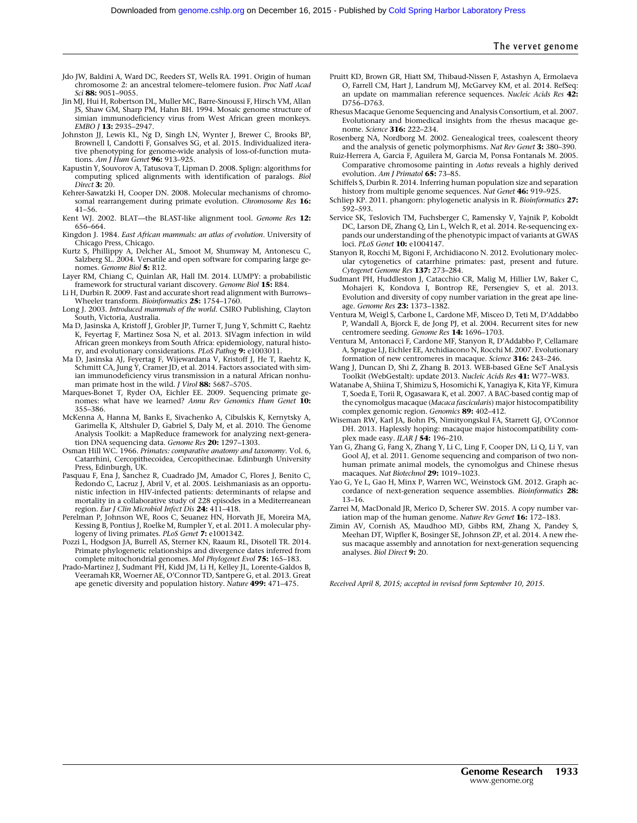- Jdo JW, Baldini A, Ward DC, Reeders ST, Wells RA. 1991. Origin of human chromosome 2: an ancestral telomere-telomere fusion. Proc Natl Acad Sci 88: 9051-9055.
- Jin MJ, Hui H, Robertson DL, Muller MC, Barre-Sinoussi F, Hirsch VM, Allan JS, Shaw GM, Sharp PM, Hahn BH. 1994. Mosaic genome structure of simian immunodeficiency virus from West African green monkeys. EMBO J 13: 2935–2947.
- Johnston JJ, Lewis KL, Ng D, Singh LN, Wynter J, Brewer C, Brooks BP, Brownell I, Candotti F, Gonsalves SG, et al. 2015. Individualized iterative phenotyping for genome-wide analysis of loss-of-function mutations. Am J Hum Genet 96: 913–925.
- Kapustin Y, Souvorov A, Tatusova T, Lipman D. 2008. Splign: algorithms for computing spliced alignments with identification of paralogs. *Biol*<br>Direct **3:** 20.
- Kehrer-Sawatzki H, Cooper DN. 2008. Molecular mechanisms of chromosomal rearrangement during primate evolution. Chromosome Res 16: 41–56.
- Kent WJ. 2002. BLAT—the BLAST-like alignment tool. Genome Res 12: 656–664.
- Kingdon J. 1984. East African mammals: an atlas of evolution. University of Chicago Press, Chicago.
- Kurtz S, Phillippy A, Delcher AL, Smoot M, Shumway M, Antonescu C, Salzberg SL. 2004. Versatile and open software for comparing large genomes. Genome Biol 5: R12.
- Layer RM, Chiang C, Quinlan AR, Hall IM. 2014. LUMPY: a probabilistic framework for structural variant discovery. Genome Biol 15: R84.
- Li H, Durbin R. 2009. Fast and accurate short read alignment with Burrows– Wheeler transform. Bioinformatics 25: 1754-1760.
- Long J. 2003. Introduced mammals of the world. CSIRO Publishing, Clayton South, Victoria, Australia.
- Ma D, Jasinska A, Kristoff J, Grobler JP, Turner T, Jung Y, Schmitt C, Raehtz K, Feyertag F, Martinez Sosa N, et al. 2013. SIVagm infection in wild African green monkeys from South Africa: epidemiology, natural history, and evolutionary considerations. PLoS Pathog 9: e1003011.
- Ma D, Jasinska AJ, Feyertag F, Wijewardana V, Kristoff J, He T, Raehtz K, Schmitt CA, Jung Y, Cramer JD, et al. 2014. Factors associated with simian immunodeficiency virus transmission in a natural African nonhuman primate host in the wild. *J Virol* 88: 5687-5705.
- Marques-Bonet T, Ryder OA, Eichler EE. 2009. Sequencing primate genomes: what have we learned? Annu Rev Genomics Hum Genet 10: 355–386.
- McKenna A, Hanna M, Banks E, Sivachenko A, Cibulskis K, Kernytsky A, Garimella K, Altshuler D, Gabriel S, Daly M, et al. 2010. The Genome Analysis Toolkit: a MapReduce framework for analyzing next-generation DNA sequencing data. Genome Res 20: 1297-1303.
- Osman Hill WC. 1966. Primates: comparative anatomy and taxonomy. Vol. 6,<br>Catarrhini, Cercopithecoidea, Cercopithecinae. Edinburgh University Press, Edinburgh, UK.
- Pasquau F, Ena J, Sanchez R, Cuadrado JM, Amador C, Flores J, Benito C, Redondo C, Lacruz J, Abril V, et al. 2005. Leishmaniasis as an opportunistic infection in HIV-infected patients: determinants of relapse and mortality in a collaborative study of 228 episodes in a Mediterreanean region. Eur J Clin Microbiol Infect Dis 24: 411-418.
- Perelman P, Johnson WE, Roos C, Seuanez HN, Horvath JE, Moreira MA, Kessing B, Pontius J, Roelke M, Rumpler Y, et al. 2011. A molecular phylogeny of living primates. PLoS Genet 7: e1001342.
- Pozzi L, Hodgson JA, Burrell AS, Sterner KN, Raaum RL, Disotell TR. 2014. Primate phylogenetic relationships and divergence dates inferred from complete mitochondrial genomes. Mol Phylogenet Evol 75: 165-183.
- Prado-Martinez J, Sudmant PH, Kidd JM, Li H, Kelley JL, Lorente-Galdos B, Veeramah KR, Woerner AE, O'Connor TD, Santpere G, et al. 2013. Great ape genetic diversity and population history. Nature 499: 471-475.
- Pruitt KD, Brown GR, Hiatt SM, Thibaud-Nissen F, Astashyn A, Ermolaeva O, Farrell CM, Hart J, Landrum MJ, McGarvey KM, et al. 2014. RefSeq: an update on mammalian reference sequences. Nucleic Acids Res 42: D756–D763.
- Rhesus Macaque Genome Sequencing and Analysis Consortium, et al. 2007. Evolutionary and biomedical insights from the rhesus macaque genome. Science 316: 222–234.
- Rosenberg NA, Nordborg M. 2002. Genealogical trees, coalescent theory and the analysis of genetic polymorphisms. Nat Rev Genet 3: 380-390.
- Ruiz-Herrera A, Garcia F, Aguilera M, Garcia M, Ponsa Fontanals M. 2005. Comparative chromosome painting in Aotus reveals a highly derived evolution. Am J Primatol 65: 73-85.
- Schiffels S, Durbin R. 2014. Inferring human population size and separation history from multiple genome sequences. Nat Genet 46: 919-925.
- Schliep KP. 2011. phangorn: phylogenetic analysis in R. Bioinformatics 27: 592–593.
- Service SK, Teslovich TM, Fuchsberger C, Ramensky V, Yajnik P, Koboldt DC, Larson DE, Zhang Q, Lin L, Welch R, et al. 2014. Re-sequencing expands our understanding of the phenotypic impact of variants at GWAS loci. PLoS Genet 10: e1004147.
- Stanyon R, Rocchi M, Bigoni F, Archidiacono N. 2012. Evolutionary molecular cytogenetics of catarrhine primates: past, present and future. Cytogenet Genome Res 137: 273–284.
- Sudmant PH, Huddleston J, Catacchio CR, Malig M, Hillier LW, Baker C, Mohajeri K, Kondova I, Bontrop RE, Persengiev S, et al. 2013. Evolution and diversity of copy number variation in the great ape lineage. Genome Res 23: 1373–1382.
- Ventura M, Weigl S, Carbone L, Cardone MF, Misceo D, Teti M, D'Addabbo P, Wandall A, Bjorck E, de Jong PJ, et al. 2004. Recurrent sites for new centromere seeding. Genome Res 14: 1696–1703.
- Ventura M, Antonacci F, Cardone MF, Stanyon R, D'Addabbo P, Cellamare A, Sprague LJ, Eichler EE, Archidiacono N, Rocchi M. 2007. Evolutionary formation of new centromeres in macaque. Science 316: 243–246.
- Wang J, Duncan D, Shi Z, Zhang B. 2013. WEB-based GEne SeT AnaLysis Toolkit (WebGestalt): update 2013. Nucleic Acids Res 41: W77–W83.
- Watanabe A, Shiina T, Shimizu S, Hosomichi K, Yanagiya K, Kita YF, Kimura T, Soeda E, Torii R, Ogasawara K, et al. 2007. A BAC-based contig map of the cynomolgus macaque (Macaca fascicularis) major histocompatibility complex genomic region. Genomics 89: 402–412.
- Wiseman RW, Karl JA, Bohn PS, Nimityongskul FA, Starrett GJ, O'Connor DH. 2013. Haplessly hoping: macaque major histocompatibility complex made easy. ILAR J 54: 196–210.
- Yan G, Zhang G, Fang X, Zhang Y, Li C, Ling F, Cooper DN, Li Q, Li Y, van Gool AJ, et al. 2011. Genome sequencing and comparison of two nonhuman primate animal models, the cynomolgus and Chinese rhesus macaques. Nat Biotechnol 29: 1019–1023.
- Yao G, Ye L, Gao H, Minx P, Warren WC, Weinstock GM. 2012. Graph accordance of next-generation sequence assemblies. Bioinformatics 28: 13–16.
- Zarrei M, MacDonald JR, Merico D, Scherer SW. 2015. A copy number variation map of the human genome. Nature Rev Genet 16: 172-183.
- Zimin AV, Cornish AS, Maudhoo MD, Gibbs RM, Zhang X, Pandey S, Meehan DT, Wipfler K, Bosinger SE, Johnson ZP, et al. 2014. A new rhesus macaque assembly and annotation for next-generation sequencing analyses. Biol Direct 9: 20.

Received April 8, 2015; accepted in revised form September 10, 2015.